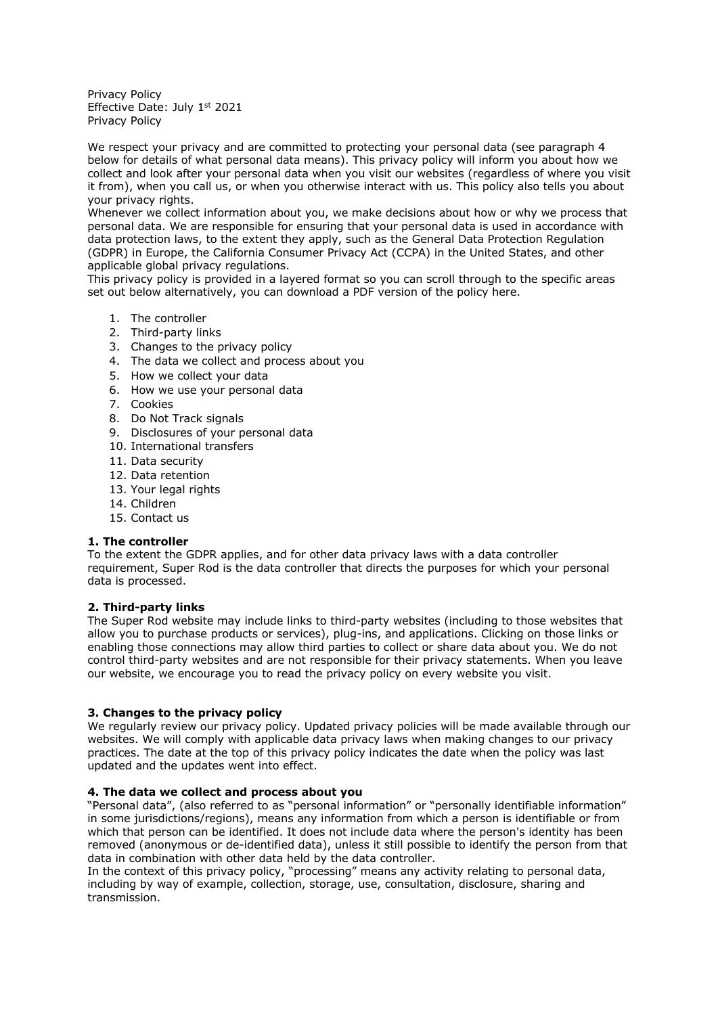Privacy Policy Effective Date: July 1st 2021 Privacy Policy

We respect your privacy and are committed to protecting your personal data (see paragraph 4 below for details of what personal data means). This privacy policy will inform you about how we collect and look after your personal data when you visit our websites (regardless of where you visit it from), when you call us, or when you otherwise interact with us. This policy also tells you about your privacy rights.

Whenever we collect information about you, we make decisions about how or why we process that personal data. We are responsible for ensuring that your personal data is used in accordance with data protection laws, to the extent they apply, such as the General Data Protection Regulation (GDPR) in Europe, the California Consumer Privacy Act (CCPA) in the United States, and other applicable global privacy regulations.

This privacy policy is provided in a layered format so you can scroll through to the specific areas set out below alternatively, you can download a PDF version of the policy here.

- 1. The controller
- 2. Third-party links
- 3. Changes to the privacy policy
- 4. The data we collect and process about you
- 5. How we collect your data
- 6. How we use your personal data
- 7. Cookies
- 8. Do Not Track signals
- 9. Disclosures of your personal data
- 10. International transfers
- 11. Data security
- 12. Data retention
- 13. Your legal rights
- 14. Children
- 15. Contact us

## **1. The controller**

To the extent the GDPR applies, and for other data privacy laws with a data controller requirement, Super Rod is the data controller that directs the purposes for which your personal data is processed.

## **2. Third-party links**

The Super Rod website may include links to third-party websites (including to those websites that allow you to purchase products or services), plug-ins, and applications. Clicking on those links or enabling those connections may allow third parties to collect or share data about you. We do not control third-party websites and are not responsible for their privacy statements. When you leave our website, we encourage you to read the privacy policy on every website you visit.

## **3. Changes to the privacy policy**

We regularly review our privacy policy. Updated privacy policies will be made available through our websites. We will comply with applicable data privacy laws when making changes to our privacy practices. The date at the top of this privacy policy indicates the date when the policy was last updated and the updates went into effect.

## **4. The data we collect and process about you**

"Personal data", (also referred to as "personal information" or "personally identifiable information" in some jurisdictions/regions), means any information from which a person is identifiable or from which that person can be identified. It does not include data where the person's identity has been removed (anonymous or de-identified data), unless it still possible to identify the person from that data in combination with other data held by the data controller.

In the context of this privacy policy, "processing" means any activity relating to personal data, including by way of example, collection, storage, use, consultation, disclosure, sharing and transmission.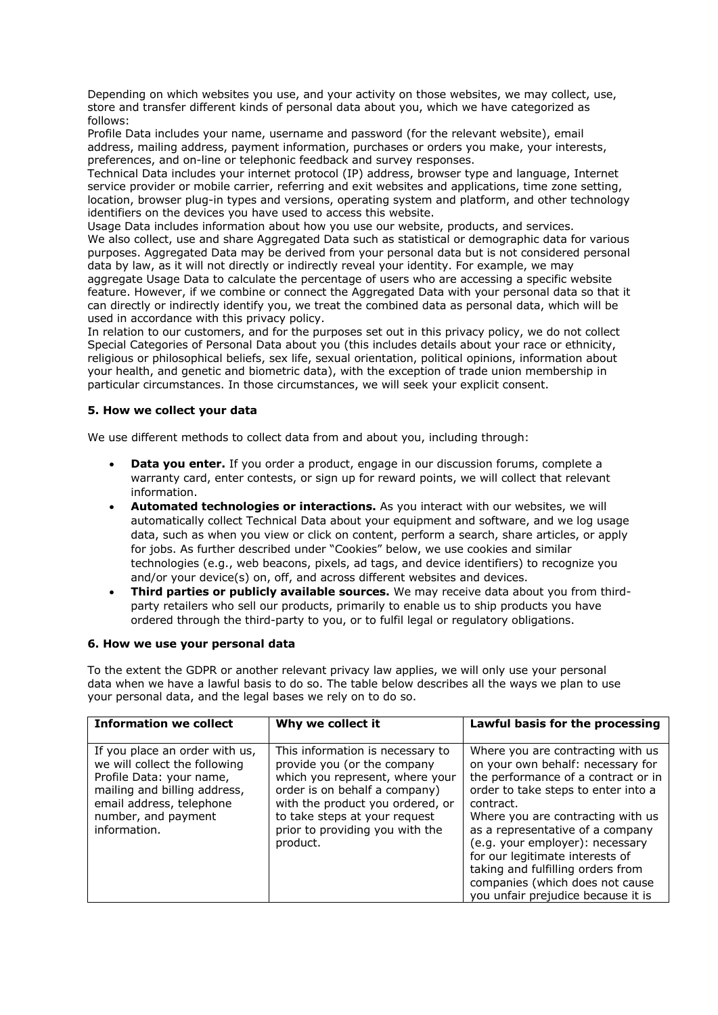Depending on which websites you use, and your activity on those websites, we may collect, use, store and transfer different kinds of personal data about you, which we have categorized as follows:

Profile Data includes your name, username and password (for the relevant website), email address, mailing address, payment information, purchases or orders you make, your interests, preferences, and on-line or telephonic feedback and survey responses.

Technical Data includes your internet protocol (IP) address, browser type and language, Internet service provider or mobile carrier, referring and exit websites and applications, time zone setting, location, browser plug-in types and versions, operating system and platform, and other technology identifiers on the devices you have used to access this website.

Usage Data includes information about how you use our website, products, and services. We also collect, use and share Aggregated Data such as statistical or demographic data for various purposes. Aggregated Data may be derived from your personal data but is not considered personal data by law, as it will not directly or indirectly reveal your identity. For example, we may aggregate Usage Data to calculate the percentage of users who are accessing a specific website feature. However, if we combine or connect the Aggregated Data with your personal data so that it can directly or indirectly identify you, we treat the combined data as personal data, which will be used in accordance with this privacy policy.

In relation to our customers, and for the purposes set out in this privacy policy, we do not collect Special Categories of Personal Data about you (this includes details about your race or ethnicity, religious or philosophical beliefs, sex life, sexual orientation, political opinions, information about your health, and genetic and biometric data), with the exception of trade union membership in particular circumstances. In those circumstances, we will seek your explicit consent.

# **5. How we collect your data**

We use different methods to collect data from and about you, including through:

- **Data you enter.** If you order a product, engage in our discussion forums, complete a warranty card, enter contests, or sign up for reward points, we will collect that relevant information.
- **Automated technologies or interactions.** As you interact with our websites, we will automatically collect Technical Data about your equipment and software, and we log usage data, such as when you view or click on content, perform a search, share articles, or apply for jobs. As further described under "Cookies" below, we use cookies and similar technologies (e.g., web beacons, pixels, ad tags, and device identifiers) to recognize you and/or your device(s) on, off, and across different websites and devices.
- **Third parties or publicly available sources.** We may receive data about you from thirdparty retailers who sell our products, primarily to enable us to ship products you have ordered through the third-party to you, or to fulfil legal or regulatory obligations.

# **6. How we use your personal data**

To the extent the GDPR or another relevant privacy law applies, we will only use your personal data when we have a lawful basis to do so. The table below describes all the ways we plan to use your personal data, and the legal bases we rely on to do so.

| <b>Information we collect</b>                                                                                                                                                                  | Why we collect it                                                                                                                                                                                                                                       | Lawful basis for the processing                                                                                                                                                                                                                                                                                                                                                                                                |
|------------------------------------------------------------------------------------------------------------------------------------------------------------------------------------------------|---------------------------------------------------------------------------------------------------------------------------------------------------------------------------------------------------------------------------------------------------------|--------------------------------------------------------------------------------------------------------------------------------------------------------------------------------------------------------------------------------------------------------------------------------------------------------------------------------------------------------------------------------------------------------------------------------|
| If you place an order with us,<br>we will collect the following<br>Profile Data: your name,<br>mailing and billing address,<br>email address, telephone<br>number, and payment<br>information. | This information is necessary to<br>provide you (or the company<br>which you represent, where your<br>order is on behalf a company)<br>with the product you ordered, or<br>to take steps at your request<br>prior to providing you with the<br>product. | Where you are contracting with us<br>on your own behalf: necessary for<br>the performance of a contract or in<br>order to take steps to enter into a<br>contract.<br>Where you are contracting with us<br>as a representative of a company<br>(e.g. your employer): necessary<br>for our legitimate interests of<br>taking and fulfilling orders from<br>companies (which does not cause<br>you unfair prejudice because it is |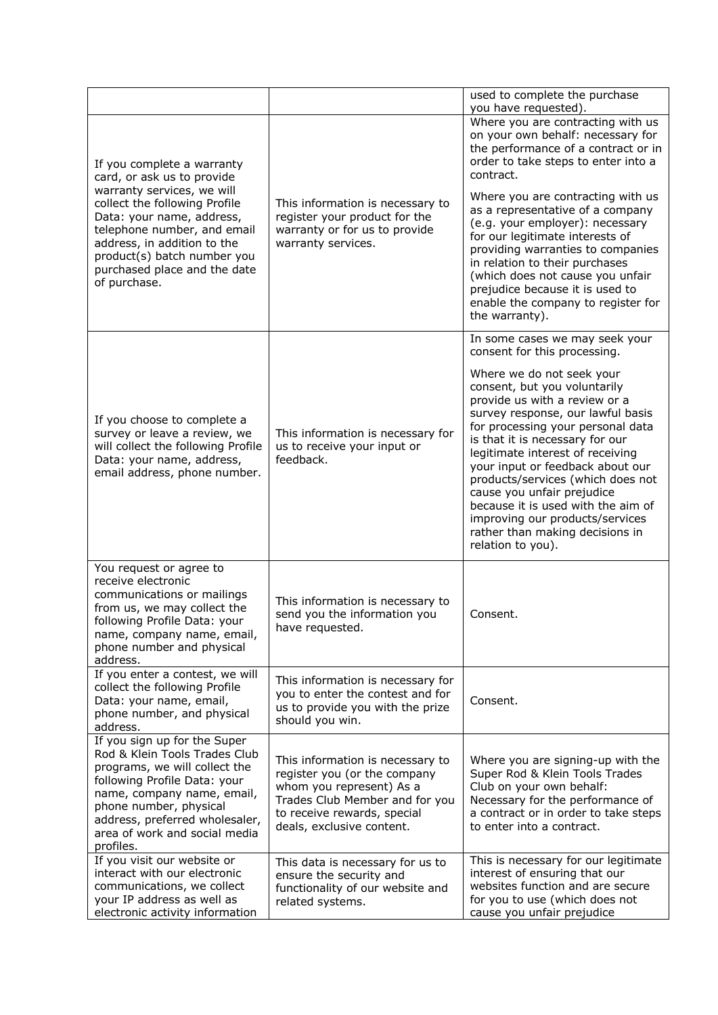|                                                                                                                                                                                                                                                                                                   |                                                                                                                                                                                            | used to complete the purchase<br>you have requested).                                                                                                                                                                                                                                                                                                                                                                                                                                                                  |
|---------------------------------------------------------------------------------------------------------------------------------------------------------------------------------------------------------------------------------------------------------------------------------------------------|--------------------------------------------------------------------------------------------------------------------------------------------------------------------------------------------|------------------------------------------------------------------------------------------------------------------------------------------------------------------------------------------------------------------------------------------------------------------------------------------------------------------------------------------------------------------------------------------------------------------------------------------------------------------------------------------------------------------------|
| If you complete a warranty<br>card, or ask us to provide<br>warranty services, we will<br>collect the following Profile<br>Data: your name, address,<br>telephone number, and email<br>address, in addition to the<br>product(s) batch number you<br>purchased place and the date<br>of purchase. | This information is necessary to<br>register your product for the<br>warranty or for us to provide<br>warranty services.                                                                   | Where you are contracting with us<br>on your own behalf: necessary for<br>the performance of a contract or in<br>order to take steps to enter into a<br>contract.<br>Where you are contracting with us<br>as a representative of a company<br>(e.g. your employer): necessary<br>for our legitimate interests of<br>providing warranties to companies<br>in relation to their purchases<br>(which does not cause you unfair<br>prejudice because it is used to<br>enable the company to register for<br>the warranty). |
|                                                                                                                                                                                                                                                                                                   |                                                                                                                                                                                            | In some cases we may seek your<br>consent for this processing.                                                                                                                                                                                                                                                                                                                                                                                                                                                         |
| If you choose to complete a<br>survey or leave a review, we<br>will collect the following Profile<br>Data: your name, address,<br>email address, phone number.                                                                                                                                    | This information is necessary for<br>us to receive your input or<br>feedback.                                                                                                              | Where we do not seek your<br>consent, but you voluntarily<br>provide us with a review or a<br>survey response, our lawful basis<br>for processing your personal data<br>is that it is necessary for our<br>legitimate interest of receiving<br>your input or feedback about our<br>products/services (which does not<br>cause you unfair prejudice<br>because it is used with the aim of<br>improving our products/services<br>rather than making decisions in<br>relation to you).                                    |
| You request or agree to<br>receive electronic<br>communications or mailings<br>from us, we may collect the<br>following Profile Data: your<br>name, company name, email,<br>phone number and physical<br>address.                                                                                 | This information is necessary to<br>send you the information you<br>have requested.                                                                                                        | Consent.                                                                                                                                                                                                                                                                                                                                                                                                                                                                                                               |
| If you enter a contest, we will<br>collect the following Profile<br>Data: your name, email,<br>phone number, and physical<br>address.                                                                                                                                                             | This information is necessary for<br>you to enter the contest and for<br>us to provide you with the prize<br>should you win.                                                               | Consent.                                                                                                                                                                                                                                                                                                                                                                                                                                                                                                               |
| If you sign up for the Super<br>Rod & Klein Tools Trades Club<br>programs, we will collect the<br>following Profile Data: your<br>name, company name, email,<br>phone number, physical<br>address, preferred wholesaler,<br>area of work and social media<br>profiles.                            | This information is necessary to<br>register you (or the company<br>whom you represent) As a<br>Trades Club Member and for you<br>to receive rewards, special<br>deals, exclusive content. | Where you are signing-up with the<br>Super Rod & Klein Tools Trades<br>Club on your own behalf:<br>Necessary for the performance of<br>a contract or in order to take steps<br>to enter into a contract.                                                                                                                                                                                                                                                                                                               |
| If you visit our website or<br>interact with our electronic<br>communications, we collect<br>your IP address as well as<br>electronic activity information                                                                                                                                        | This data is necessary for us to<br>ensure the security and<br>functionality of our website and<br>related systems.                                                                        | This is necessary for our legitimate<br>interest of ensuring that our<br>websites function and are secure<br>for you to use (which does not<br>cause you unfair prejudice                                                                                                                                                                                                                                                                                                                                              |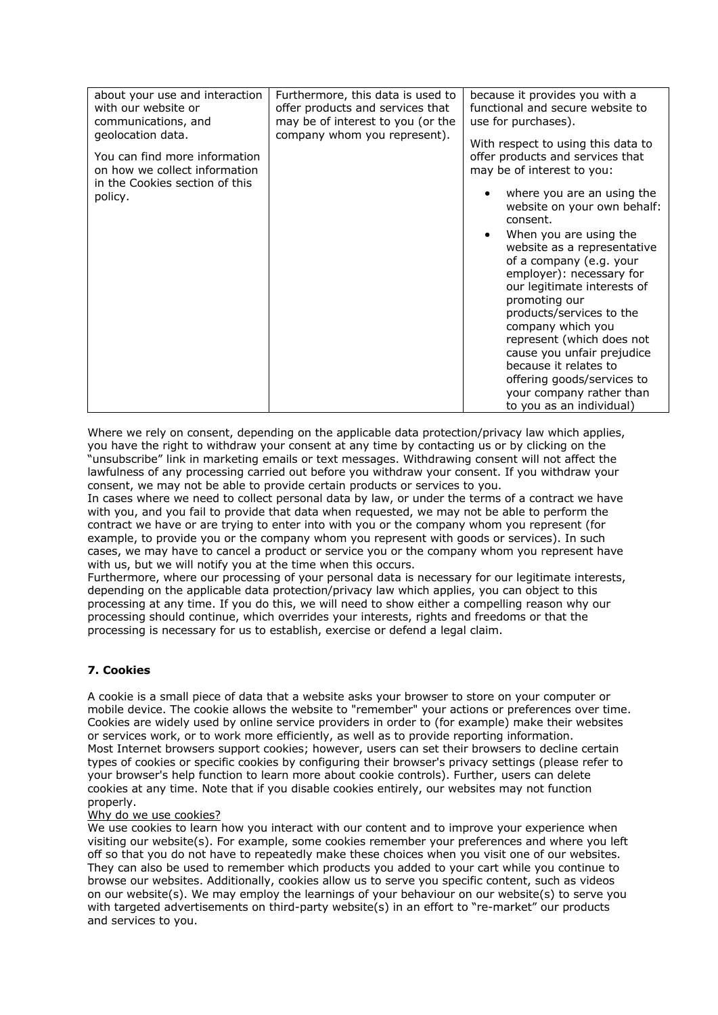| about your use and interaction<br>with our website or<br>communications, and<br>geolocation data.<br>You can find more information<br>on how we collect information<br>in the Cookies section of this<br>policy. | Furthermore, this data is used to<br>offer products and services that<br>may be of interest to you (or the<br>company whom you represent). | because it provides you with a<br>functional and secure website to<br>use for purchases).<br>With respect to using this data to<br>offer products and services that<br>may be of interest to you:<br>where you are an using the<br>website on your own behalf:<br>consent.<br>When you are using the<br>$\bullet$<br>website as a representative<br>of a company (e.g. your<br>employer): necessary for |
|------------------------------------------------------------------------------------------------------------------------------------------------------------------------------------------------------------------|--------------------------------------------------------------------------------------------------------------------------------------------|---------------------------------------------------------------------------------------------------------------------------------------------------------------------------------------------------------------------------------------------------------------------------------------------------------------------------------------------------------------------------------------------------------|
|                                                                                                                                                                                                                  |                                                                                                                                            | our legitimate interests of<br>promoting our<br>products/services to the<br>company which you<br>represent (which does not<br>cause you unfair prejudice<br>because it relates to<br>offering goods/services to<br>your company rather than<br>to you as an individual)                                                                                                                                 |

Where we rely on consent, depending on the applicable data protection/privacy law which applies, you have the right to withdraw your consent at any time by contacting us or by clicking on the "unsubscribe" link in marketing emails or text messages. Withdrawing consent will not affect the lawfulness of any processing carried out before you withdraw your consent. If you withdraw your consent, we may not be able to provide certain products or services to you.

In cases where we need to collect personal data by law, or under the terms of a contract we have with you, and you fail to provide that data when requested, we may not be able to perform the contract we have or are trying to enter into with you or the company whom you represent (for example, to provide you or the company whom you represent with goods or services). In such cases, we may have to cancel a product or service you or the company whom you represent have with us, but we will notify you at the time when this occurs.

Furthermore, where our processing of your personal data is necessary for our legitimate interests, depending on the applicable data protection/privacy law which applies, you can object to this processing at any time. If you do this, we will need to show either a compelling reason why our processing should continue, which overrides your interests, rights and freedoms or that the processing is necessary for us to establish, exercise or defend a legal claim.

# **7. Cookies**

A cookie is a small piece of data that a website asks your browser to store on your computer or mobile device. The cookie allows the website to "remember" your actions or preferences over time. Cookies are widely used by online service providers in order to (for example) make their websites or services work, or to work more efficiently, as well as to provide reporting information. Most Internet browsers support cookies; however, users can set their browsers to decline certain types of cookies or specific cookies by configuring their browser's privacy settings (please refer to your browser's help function to learn more about cookie controls). Further, users can delete cookies at any time. Note that if you disable cookies entirely, our websites may not function properly.

## Why do we use cookies?

We use cookies to learn how you interact with our content and to improve your experience when visiting our website(s). For example, some cookies remember your preferences and where you left off so that you do not have to repeatedly make these choices when you visit one of our websites. They can also be used to remember which products you added to your cart while you continue to browse our websites. Additionally, cookies allow us to serve you specific content, such as videos on our website(s). We may employ the learnings of your behaviour on our website(s) to serve you with targeted advertisements on third-party website(s) in an effort to "re-market" our products and services to you.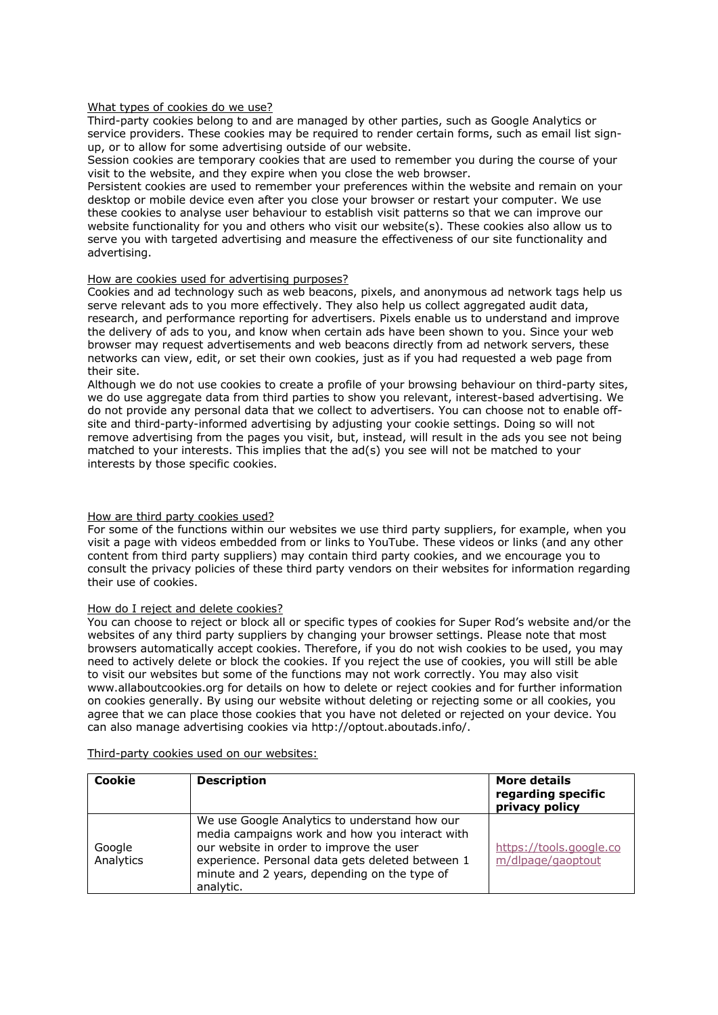### What types of cookies do we use?

Third-party cookies belong to and are managed by other parties, such as Google Analytics or service providers. These cookies may be required to render certain forms, such as email list signup, or to allow for some advertising outside of our website.

Session cookies are temporary cookies that are used to remember you during the course of your visit to the website, and they expire when you close the web browser.

Persistent cookies are used to remember your preferences within the website and remain on your desktop or mobile device even after you close your browser or restart your computer. We use these cookies to analyse user behaviour to establish visit patterns so that we can improve our website functionality for you and others who visit our website(s). These cookies also allow us to serve you with targeted advertising and measure the effectiveness of our site functionality and advertising.

### How are cookies used for advertising purposes?

Cookies and ad technology such as web beacons, pixels, and anonymous ad network tags help us serve relevant ads to you more effectively. They also help us collect aggregated audit data, research, and performance reporting for advertisers. Pixels enable us to understand and improve the delivery of ads to you, and know when certain ads have been shown to you. Since your web browser may request advertisements and web beacons directly from ad network servers, these networks can view, edit, or set their own cookies, just as if you had requested a web page from their site.

Although we do not use cookies to create a profile of your browsing behaviour on third-party sites, we do use aggregate data from third parties to show you relevant, interest-based advertising. We do not provide any personal data that we collect to advertisers. You can choose not to enable offsite and third-party-informed advertising by adjusting your cookie settings. Doing so will not remove advertising from the pages you visit, but, instead, will result in the ads you see not being matched to your interests. This implies that the ad(s) you see will not be matched to your interests by those specific cookies.

#### How are third party cookies used?

For some of the functions within our websites we use third party suppliers, for example, when you visit a page with videos embedded from or links to YouTube. These videos or links (and any other content from third party suppliers) may contain third party cookies, and we encourage you to consult the privacy policies of these third party vendors on their websites for information regarding their use of cookies.

#### How do I reject and delete cookies?

You can choose to reject or block all or specific types of cookies for Super Rod's website and/or the websites of any third party suppliers by changing your browser settings. Please note that most browsers automatically accept cookies. Therefore, if you do not wish cookies to be used, you may need to actively delete or block the cookies. If you reject the use of cookies, you will still be able to visit our websites but some of the functions may not work correctly. You may also visit www.allaboutcookies.org for details on how to delete or reject cookies and for further information on cookies generally. By using our website without deleting or rejecting some or all cookies, you agree that we can place those cookies that you have not deleted or rejected on your device. You can also manage advertising cookies via http://optout.aboutads.info/.

| Cookie              | <b>Description</b>                                                                                                                                                                                                                                           | More details<br>regarding specific<br>privacy policy |
|---------------------|--------------------------------------------------------------------------------------------------------------------------------------------------------------------------------------------------------------------------------------------------------------|------------------------------------------------------|
| Google<br>Analytics | We use Google Analytics to understand how our<br>media campaigns work and how you interact with<br>our website in order to improve the user<br>experience. Personal data gets deleted between 1<br>minute and 2 years, depending on the type of<br>analytic. | https://tools.google.co<br>m/dlpage/gaoptout         |

#### Third-party cookies used on our websites: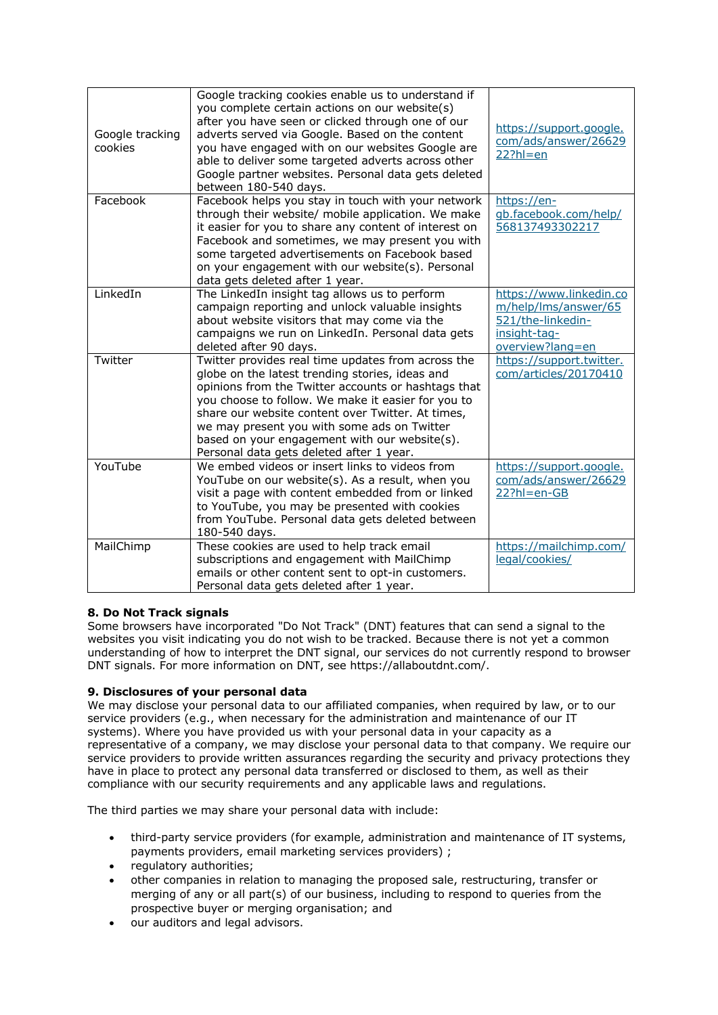| Google tracking<br>cookies | Google tracking cookies enable us to understand if<br>you complete certain actions on our website(s)<br>after you have seen or clicked through one of our<br>adverts served via Google. Based on the content<br>you have engaged with on our websites Google are<br>able to deliver some targeted adverts across other<br>Google partner websites. Personal data gets deleted<br>between 180-540 days.              | https://support.google.<br>com/ads/answer/26629<br>$22?$ hl=en                                           |
|----------------------------|---------------------------------------------------------------------------------------------------------------------------------------------------------------------------------------------------------------------------------------------------------------------------------------------------------------------------------------------------------------------------------------------------------------------|----------------------------------------------------------------------------------------------------------|
| Facebook                   | Facebook helps you stay in touch with your network<br>through their website/ mobile application. We make<br>it easier for you to share any content of interest on<br>Facebook and sometimes, we may present you with<br>some targeted advertisements on Facebook based<br>on your engagement with our website(s). Personal<br>data gets deleted after 1 year.                                                       | https://en-<br>gb.facebook.com/help/<br>568137493302217                                                  |
| LinkedIn                   | The LinkedIn insight tag allows us to perform<br>campaign reporting and unlock valuable insights<br>about website visitors that may come via the<br>campaigns we run on LinkedIn. Personal data gets<br>deleted after 90 days.                                                                                                                                                                                      | https://www.linkedin.co<br>m/help/lms/answer/65<br>521/the-linkedin-<br>insight-tag-<br>overview?lang=en |
| Twitter                    | Twitter provides real time updates from across the<br>globe on the latest trending stories, ideas and<br>opinions from the Twitter accounts or hashtags that<br>you choose to follow. We make it easier for you to<br>share our website content over Twitter. At times,<br>we may present you with some ads on Twitter<br>based on your engagement with our website(s).<br>Personal data gets deleted after 1 year. | https://support.twitter.<br>com/articles/20170410                                                        |
| YouTube                    | We embed videos or insert links to videos from<br>YouTube on our website(s). As a result, when you<br>visit a page with content embedded from or linked<br>to YouTube, you may be presented with cookies<br>from YouTube. Personal data gets deleted between<br>180-540 days.                                                                                                                                       | https://support.google.<br>com/ads/answer/26629<br>$22?$ hl=en-GB                                        |
| MailChimp                  | These cookies are used to help track email<br>subscriptions and engagement with MailChimp<br>emails or other content sent to opt-in customers.<br>Personal data gets deleted after 1 year.                                                                                                                                                                                                                          | https://mailchimp.com/<br>legal/cookies/                                                                 |

# **8. Do Not Track signals**

Some browsers have incorporated "Do Not Track" (DNT) features that can send a signal to the websites you visit indicating you do not wish to be tracked. Because there is not yet a common understanding of how to interpret the DNT signal, our services do not currently respond to browser DNT signals. For more information on DNT, see https://allaboutdnt.com/.

# **9. Disclosures of your personal data**

We may disclose your personal data to our affiliated companies, when required by law, or to our service providers (e.g., when necessary for the administration and maintenance of our IT systems). Where you have provided us with your personal data in your capacity as a representative of a company, we may disclose your personal data to that company. We require our service providers to provide written assurances regarding the security and privacy protections they have in place to protect any personal data transferred or disclosed to them, as well as their compliance with our security requirements and any applicable laws and regulations.

The third parties we may share your personal data with include:

- third-party service providers (for example, administration and maintenance of IT systems, payments providers, email marketing services providers) ;
- regulatory authorities;
- other companies in relation to managing the proposed sale, restructuring, transfer or merging of any or all part(s) of our business, including to respond to queries from the prospective buyer or merging organisation; and
- our auditors and legal advisors.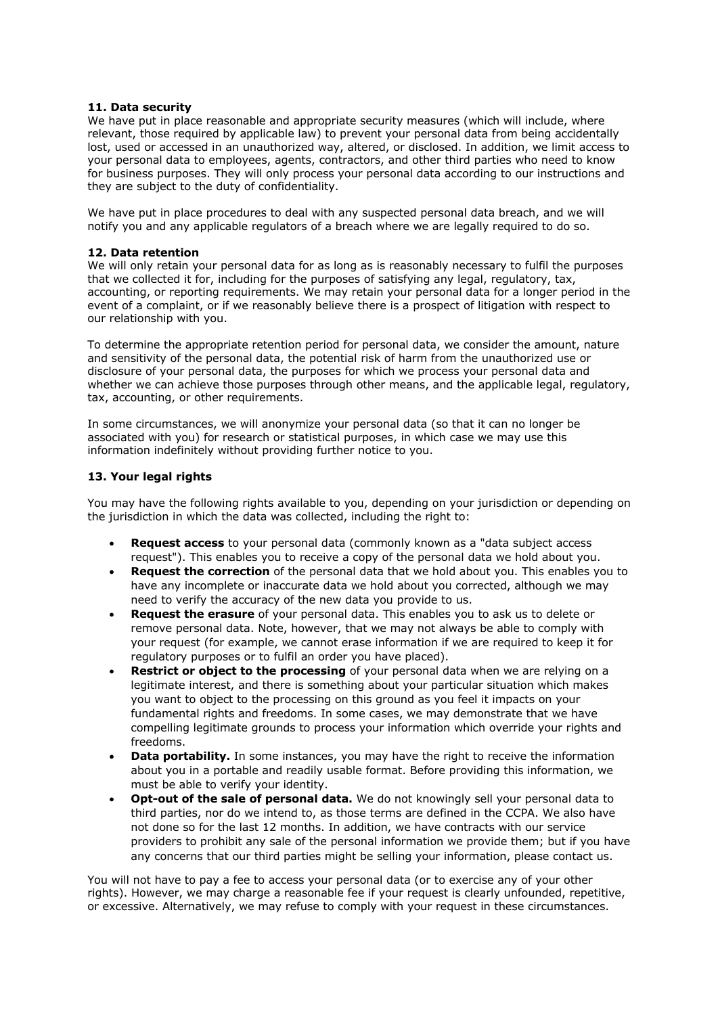## **11. Data security**

We have put in place reasonable and appropriate security measures (which will include, where relevant, those required by applicable law) to prevent your personal data from being accidentally lost, used or accessed in an unauthorized way, altered, or disclosed. In addition, we limit access to your personal data to employees, agents, contractors, and other third parties who need to know for business purposes. They will only process your personal data according to our instructions and they are subject to the duty of confidentiality.

We have put in place procedures to deal with any suspected personal data breach, and we will notify you and any applicable regulators of a breach where we are legally required to do so.

### **12. Data retention**

We will only retain your personal data for as long as is reasonably necessary to fulfil the purposes that we collected it for, including for the purposes of satisfying any legal, regulatory, tax, accounting, or reporting requirements. We may retain your personal data for a longer period in the event of a complaint, or if we reasonably believe there is a prospect of litigation with respect to our relationship with you.

To determine the appropriate retention period for personal data, we consider the amount, nature and sensitivity of the personal data, the potential risk of harm from the unauthorized use or disclosure of your personal data, the purposes for which we process your personal data and whether we can achieve those purposes through other means, and the applicable legal, regulatory, tax, accounting, or other requirements.

In some circumstances, we will anonymize your personal data (so that it can no longer be associated with you) for research or statistical purposes, in which case we may use this information indefinitely without providing further notice to you.

## **13. Your legal rights**

You may have the following rights available to you, depending on your jurisdiction or depending on the jurisdiction in which the data was collected, including the right to:

- **Request access** to your personal data (commonly known as a "data subject access request"). This enables you to receive a copy of the personal data we hold about you.
- **Request the correction** of the personal data that we hold about you. This enables you to have any incomplete or inaccurate data we hold about you corrected, although we may need to verify the accuracy of the new data you provide to us.
- **Request the erasure** of your personal data. This enables you to ask us to delete or remove personal data. Note, however, that we may not always be able to comply with your request (for example, we cannot erase information if we are required to keep it for regulatory purposes or to fulfil an order you have placed).
- **Restrict or object to the processing** of your personal data when we are relying on a legitimate interest, and there is something about your particular situation which makes you want to object to the processing on this ground as you feel it impacts on your fundamental rights and freedoms. In some cases, we may demonstrate that we have compelling legitimate grounds to process your information which override your rights and freedoms.
- **Data portability.** In some instances, you may have the right to receive the information about you in a portable and readily usable format. Before providing this information, we must be able to verify your identity.
- **Opt-out of the sale of personal data.** We do not knowingly sell your personal data to third parties, nor do we intend to, as those terms are defined in the CCPA. We also have not done so for the last 12 months. In addition, we have contracts with our service providers to prohibit any sale of the personal information we provide them; but if you have any concerns that our third parties might be selling your information, please contact us.

You will not have to pay a fee to access your personal data (or to exercise any of your other rights). However, we may charge a reasonable fee if your request is clearly unfounded, repetitive, or excessive. Alternatively, we may refuse to comply with your request in these circumstances.